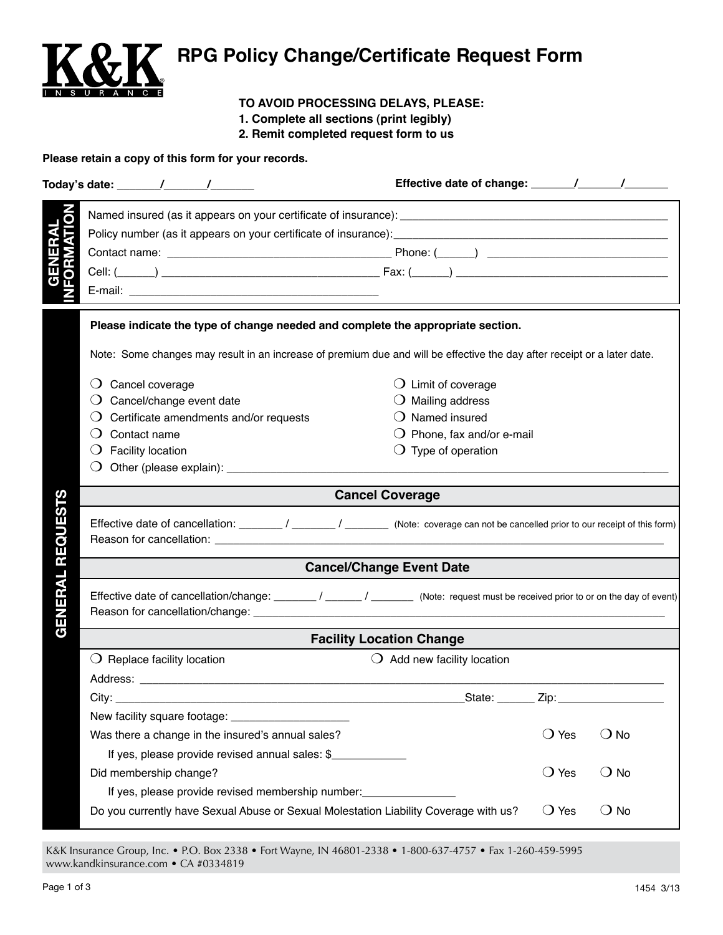

## **RPG Policy Change/Certificate Request Form**

## **TO AVOID PROCESSING DELAYS, PLEASE:**

- **1. Complete all sections (print legibly)**
- **2. Remit completed request form to us**

## **Please retain a copy of this form for your records.**

|               | Please indicate the type of change needed and complete the appropriate section.                                                      |                                      |                |               |  |  |
|---------------|--------------------------------------------------------------------------------------------------------------------------------------|--------------------------------------|----------------|---------------|--|--|
|               | Note: Some changes may result in an increase of premium due and will be effective the day after receipt or a later date.             |                                      |                |               |  |  |
|               | Cancel coverage<br>$\lambda$                                                                                                         | $\bigcirc$ Limit of coverage         |                |               |  |  |
|               | Cancel/change event date<br>$\cup$                                                                                                   | $\bigcirc$ Mailing address           |                |               |  |  |
|               | Certificate amendments and/or requests                                                                                               | $\bigcirc$ Named insured             |                |               |  |  |
|               | Contact name                                                                                                                         | $\bigcirc$ Phone, fax and/or e-mail  |                |               |  |  |
|               | <b>Facility location</b><br>$\cup$                                                                                                   | $\bigcirc$ Type of operation         |                |               |  |  |
|               |                                                                                                                                      |                                      |                |               |  |  |
| 81            | <b>Cancel Coverage</b>                                                                                                               |                                      |                |               |  |  |
| <b>REQUES</b> | Effective date of cancellation: ________ / _______ / _______ (Note: coverage can not be cancelled prior to our receipt of this form) |                                      |                |               |  |  |
|               | <b>Cancel/Change Event Date</b>                                                                                                      |                                      |                |               |  |  |
| GENERAL       | Effective date of cancellation/change: _______/ ______/ ________ (Note: request must be received prior to or on the day of event)    |                                      |                |               |  |  |
|               | <b>Facility Location Change</b>                                                                                                      |                                      |                |               |  |  |
|               | $\bigcirc$ Replace facility location                                                                                                 | $\bigcirc$ Add new facility location |                |               |  |  |
|               |                                                                                                                                      |                                      |                |               |  |  |
|               | City:                                                                                                                                | State: _______ Zip: _____________    |                |               |  |  |
|               |                                                                                                                                      |                                      |                |               |  |  |
|               | Was there a change in the insured's annual sales?                                                                                    |                                      | $\bigcirc$ Yes | $\bigcirc$ No |  |  |
|               | If yes, please provide revised annual sales: \$                                                                                      |                                      |                |               |  |  |
|               | Did membership change?                                                                                                               |                                      | $\bigcirc$ Yes | $\bigcirc$ No |  |  |
|               | If yes, please provide revised membership number: ______________________________                                                     |                                      |                |               |  |  |
|               | Do you currently have Sexual Abuse or Sexual Molestation Liability Coverage with us?                                                 |                                      | $\bigcirc$ Yes | $\bigcirc$ No |  |  |
|               |                                                                                                                                      |                                      |                |               |  |  |

K&K Insurance Group, Inc. • P.O. Box 2338 • Fort Wayne, IN 46801-2338 • 1-800-637-4757 • Fax 1-260-459-5995 www.kandkinsurance.com • CA #0334819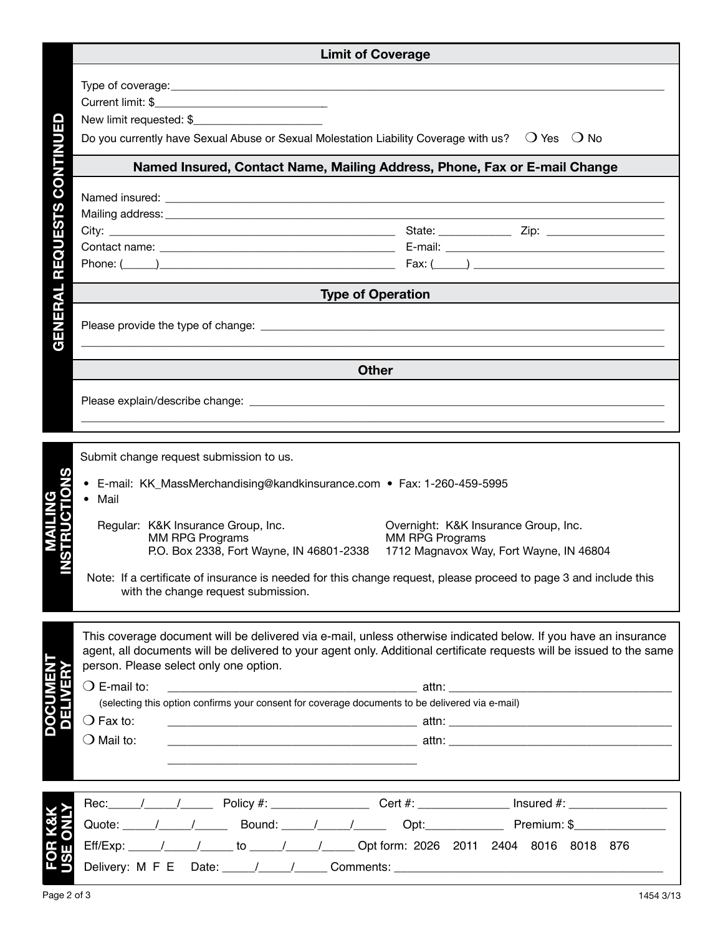|                                   | <b>Limit of Coverage</b>                                                                                                                                                                                                                                                                                                                                                                                                                                                                                       |  |  |  |
|-----------------------------------|----------------------------------------------------------------------------------------------------------------------------------------------------------------------------------------------------------------------------------------------------------------------------------------------------------------------------------------------------------------------------------------------------------------------------------------------------------------------------------------------------------------|--|--|--|
| TINUED<br><b>REQUESTS CON</b>     | Do you currently have Sexual Abuse or Sexual Molestation Liability Coverage with us? $\circ$ $\circ$ Yes $\circ$ O No<br>Named Insured, Contact Name, Mailing Address, Phone, Fax or E-mail Change                                                                                                                                                                                                                                                                                                             |  |  |  |
| <b>HAL</b>                        | <b>Type of Operation</b>                                                                                                                                                                                                                                                                                                                                                                                                                                                                                       |  |  |  |
| Ε<br>π<br>$\overline{\mathbf{G}}$ |                                                                                                                                                                                                                                                                                                                                                                                                                                                                                                                |  |  |  |
|                                   | <b>Other</b>                                                                                                                                                                                                                                                                                                                                                                                                                                                                                                   |  |  |  |
|                                   |                                                                                                                                                                                                                                                                                                                                                                                                                                                                                                                |  |  |  |
|                                   | Submit change request submission to us.<br>• E-mail: KK_MassMerchandising@kandkinsurance.com • Fax: 1-260-459-5995<br>Mail<br>Regular: K&K Insurance Group, Inc.<br>Overnight: K&K Insurance Group, Inc.<br><b>MM RPG Programs</b><br><b>MM RPG Programs</b><br>P.O. Box 2338, Fort Wayne, IN 46801-2338<br>1712 Magnavox Way, Fort Wayne, IN 46804<br>Note: If a certificate of insurance is needed for this change request, please proceed to page 3 and include this<br>with the change request submission. |  |  |  |
|                                   | This coverage document will be delivered via e-mail, unless otherwise indicated below. If you have an insurance<br>agent, all documents will be delivered to your agent only. Additional certificate requests will be issued to the same<br>person. Please select only one option.<br>$\bigcirc$ E-mail to:<br>(selecting this option confirms your consent for coverage documents to be delivered via e-mail)<br>$\bigcirc$ Fax to:<br>$\bigcirc$ Mail to:                                                    |  |  |  |
|                                   | Rec: / / / Policy #: ____________ Cert #: ___________ Insured #: _______________<br>Quote: / / / Bound: / / / Opt: Christman: \$<br>Eff/Exp: / / to / / / / / Opt form: 2026 2011 2404 8016 8018 876                                                                                                                                                                                                                                                                                                           |  |  |  |